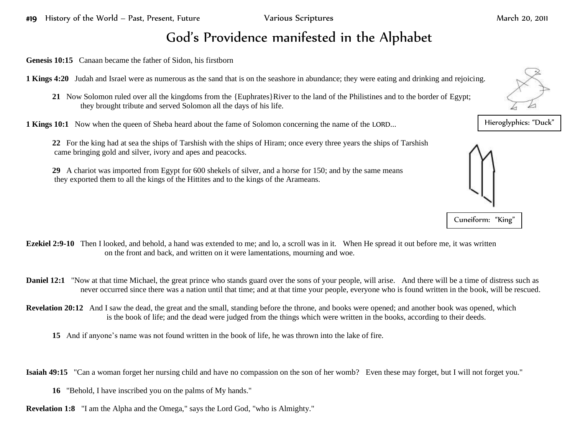## God's Providence manifested in the Alphabet

**Genesis 10:15** Canaan became the father of Sidon, his firstborn

**1 Kings 4:20** Judah and Israel were as numerous as the sand that is on the seashore in abundance; they were eating and drinking and rejoicing.

**21** Now Solomon ruled over all the kingdoms from the {Euphrates}River to the land of the Philistines and to the border of Egypt; they brought tribute and served Solomon all the days of his life.

**1 Kings 10:1** Now when the queen of Sheba heard about the fame of Solomon concerning the name of the LORD...

- **22** For the king had at sea the ships of Tarshish with the ships of Hiram; once every three years the ships of Tarshish came bringing gold and silver, ivory and apes and peacocks.
- **29** A chariot was imported from Egypt for 600 shekels of silver, and a horse for 150; and by the same means they exported them to all the kings of the Hittites and to the kings of the Arameans.

- **Ezekiel 2:9-10** Then I looked, and behold, a hand was extended to me; and lo, a scroll was in it. When He spread it out before me, it was written on the front and back, and written on it were lamentations, mourning and woe.
- **Daniel 12:1** "Now at that time Michael, the great prince who stands guard over the sons of your people, will arise. And there will be a time of distress such as never occurred since there was a nation until that time; and at that time your people, everyone who is found written in the book, will be rescued.
- **Revelation 20:12** And I saw the dead, the great and the small, standing before the throne, and books were opened; and another book was opened, which is the book of life; and the dead were judged from the things which were written in the books, according to their deeds.
	- **15** And if anyone's name was not found written in the book of life, he was thrown into the lake of fire.

**Isaiah 49:15** "Can a woman forget her nursing child and have no compassion on the son of her womb? Even these may forget, but I will not forget you."

- **16** "Behold, I have inscribed you on the palms of My hands."
- **Revelation 1:8** "I am the Alpha and the Omega," says the Lord God, "who is Almighty."



Hieroglyphics: "Duck"